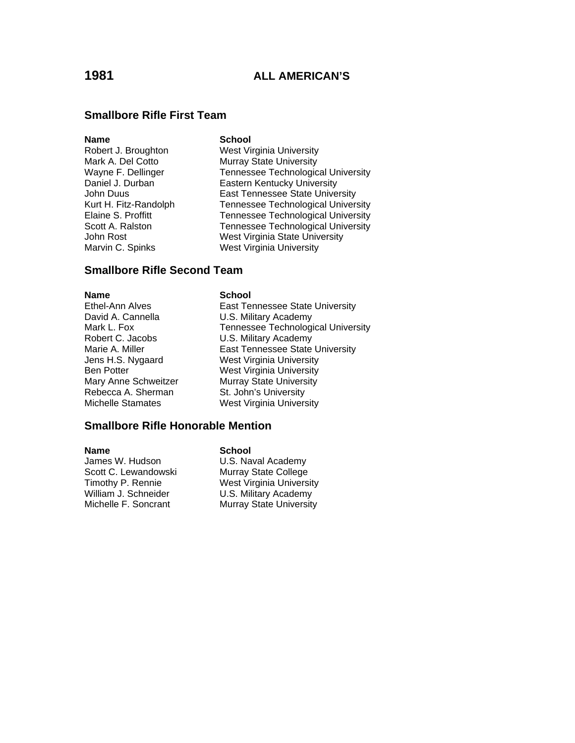### **Smallbore Rifle First Team**

### **Name** School

Marvin C. Spinks West Virginia University

Robert J. Broughton West Virginia University Mark A. Del Cotto **Murray State University**<br>
Wayne F. Dellinger **Music Contracts** Technologic Tennessee Technological University Daniel J. Durban **Eastern Kentucky University** John Duus East Tennessee State University Kurt H. Fitz-Randolph Tennessee Technological University Elaine S. Proffitt Tennessee Technological University Scott A. Ralston Tennessee Technological University<br>John Rost University<br>West Virginia State University West Virginia State University

### **Smallbore Rifle Second Team**

### **Name** School

Ethel-Ann Alves **East Tennessee State University** David A. Cannella **U.S. Military Academy** Mark L. Fox **Tennessee** Technological University Robert C. Jacobs U.S. Military Academy Marie A. Miller **East Tennessee State University** Jens H.S. Nygaard West Virginia University Ben Potter West Virginia University<br>
Mary Anne Schweitzer Murray State University Mary Anne Schweitzer **Murray State University**<br>Rebecca A. Sherman **Mart St. John's University** St. John's University Michelle Stamates West Virginia University

### **Smallbore Rifle Honorable Mention**

Scott C. Lewandowski Murray State College William J. Schneider **U.S. Military Academy** 

# **Name** School James W. Hudson **U.S. Naval Academy** Timothy P. Rennie West Virginia University Michelle F. Soncrant Murray State University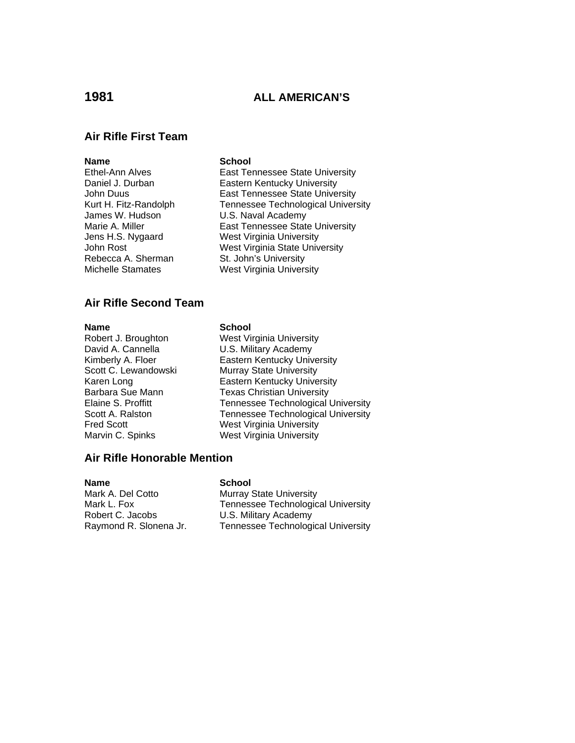## **1981 ALL AMERICAN'S**

### **Air Rifle First Team**

**Name School**<br> **Ethel-Ann Alves School**<br> **East Term** James W. Hudson U.S. Naval Academy Rebecca A. Sherman St. John's University<br>
Michelle Stamates Mest Virginia Univers

East Tennessee State University Daniel J. Durban **Eastern Kentucky University** John Duus East Tennessee State University Kurt H. Fitz-Randolph Tennessee Technological University Marie A. Miller **East Tennessee State University** Jens H.S. Nygaard West Virginia University John Rost (Scherman Mest Virginia State University Rebecca A. Sherman St. John's University West Virginia University

### **Air Rifle Second Team**

### **Name** School

Robert J. Broughton West Virginia University David A. Cannella **U.S. Military Academy** Kimberly A. Floer **Eastern Kentucky University** Scott C. Lewandowski Murray State University Karen Long<br>Barbara Sue Mann **Eastern Kentucky University**<br>Texas Christian University Barbara Sue Mann Texas Christian University<br>Elaine S. Proffitt Tennessee Technological Tennessee Technological University Scott A. Ralston Tennessee Technological University<br>
Fred Scott Tennessee Technological University West Virginia University Marvin C. Spinks West Virginia University

### **Air Rifle Honorable Mention**

| <b>Name</b>            | <b>School</b>                             |
|------------------------|-------------------------------------------|
| Mark A. Del Cotto      | <b>Murray State University</b>            |
| Mark L. Fox            | <b>Tennessee Technological University</b> |
| Robert C. Jacobs       | U.S. Military Academy                     |
| Raymond R. Slonena Jr. | <b>Tennessee Technological University</b> |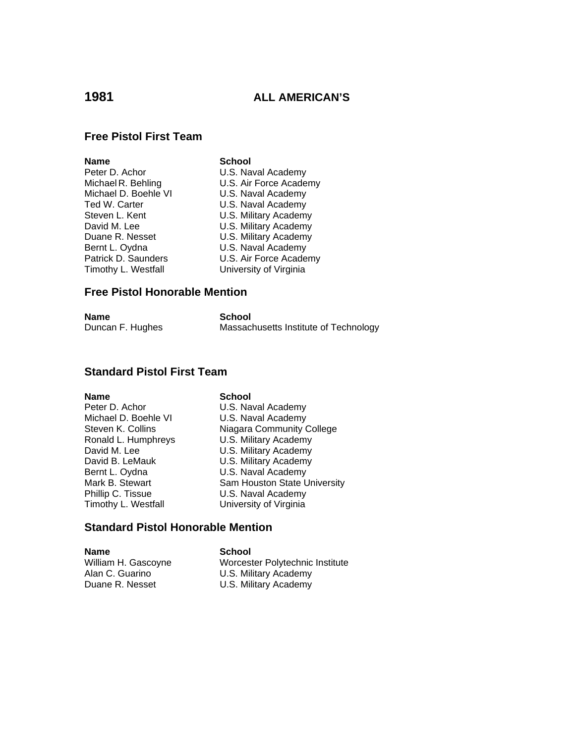## **1981 ALL AMERICAN'S**

### **Free Pistol First Team**

| Name                 |
|----------------------|
| Peter D. Achor       |
| Michael R. Behling   |
| Michael D. Boehle VI |
| Ted W. Carter        |
| Steven L. Kent       |
| David M. Lee         |
| Duane R. Nesset      |
| Bernt L. Oydna       |
| Patrick D. Saunders  |
| Timothy L. Westfall  |

**School** U.S. Naval Academy U.S. Air Force Academy U.S. Naval Academy U.S. Naval Academy U.S. Military Academy U.S. Military Academy **U.S. Military Academy** U.S. Naval Academy U.S. Air Force Academy University of Virginia

### **Free Pistol Honorable Mention**

| Name             | School                                |
|------------------|---------------------------------------|
| Duncan F. Hughes | Massachusetts Institute of Technology |

### **Standard Pistol First Team**

**Name** School

Peter D. Achor U.S. Naval Academy<br>Michael D. Boehle VI U.S. Naval Academy Michael D. Boehle VI Ronald L. Humphreys U.S. Military Academy<br>David M. Lee U.S. Military Academy David B. LeMauk U.S. Military Academy Bernt L. Oydna **U.S. Naval Academy** Phillip C. Tissue U.S. Naval Academy Timothy L. Westfall **University of Virginia** 

Steven K. Collins Niagara Community College U.S. Military Academy Mark B. Stewart Sam Houston State University

### **Standard Pistol Honorable Mention**

**Name School**<br>
William H. Gascoyne **School** 

Worcester Polytechnic Institute Alan C. Guarino U.S. Military Academy U.S. Military Academy